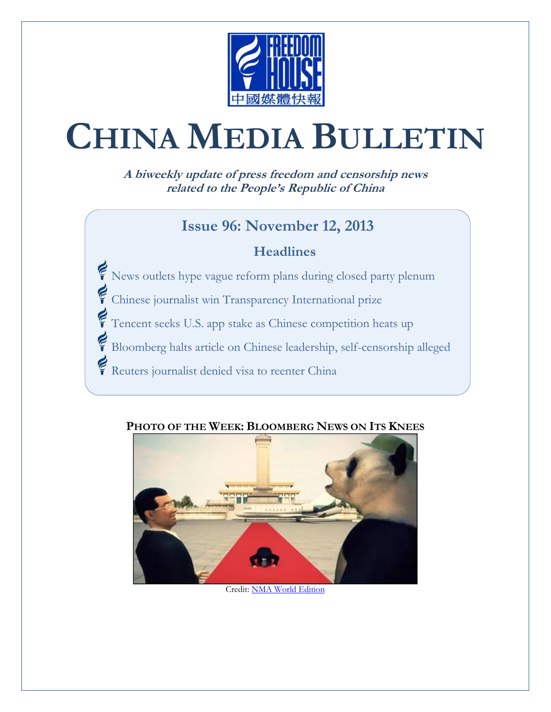

# **CHINA MEDIA BULLETIN**

**A biweekly update of press freedom and censorship news related to the People's Republic of China**

#### **Issue 96: November 12, 2013**

#### **Headlines**

- Rews outlets hype vague reform plans during closed party plenum
- Chinese journalist win Transparency International prize
- Tencent seeks U.S. app stake as Chinese competition heats up
- Bloomberg halts article on Chinese leadership, self-censorship alleged
- Reuters journalist denied visa to reenter China



#### **PHOTO OF THE WEEK: BLOOMBERG NEWS ON ITS KNEES**

Credit[: NMA World Edition](http://www.youtube.com/watch?v=DQGMLlihZ1I)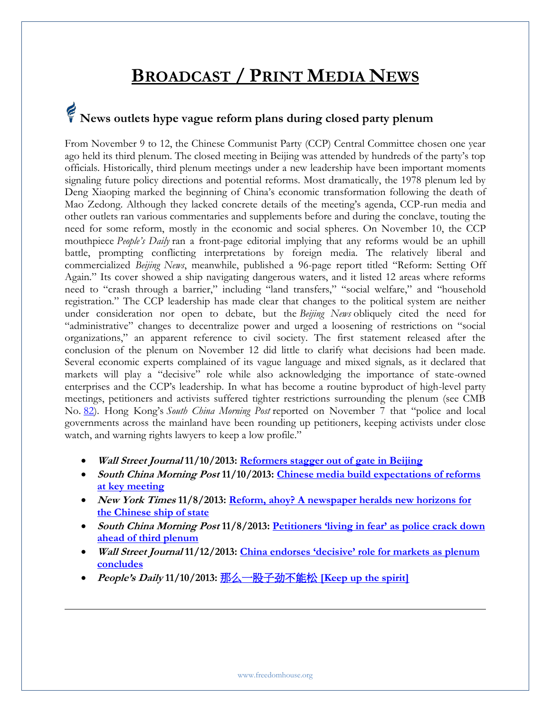### **BROADCAST / PRINT MEDIA NEWS**

## **News outlets hype vague reform plans during closed party plenum**

From November 9 to 12, the Chinese Communist Party (CCP) Central Committee chosen one year ago held its third plenum. The closed meeting in Beijing was attended by hundreds of the party's top officials. Historically, third plenum meetings under a new leadership have been important moments signaling future policy directions and potential reforms. Most dramatically, the 1978 plenum led by Deng Xiaoping marked the beginning of China's economic transformation following the death of Mao Zedong. Although they lacked concrete details of the meeting's agenda, CCP-run media and other outlets ran various commentaries and supplements before and during the conclave, touting the need for some reform, mostly in the economic and social spheres. On November 10, the CCP mouthpiece *People's Daily* ran a front-page editorial implying that any reforms would be an uphill battle, prompting conflicting interpretations by foreign media. The relatively liberal and commercialized *Beijing News*, meanwhile, published a 96-page report titled "Reform: Setting Off Again." Its cover showed a ship navigating dangerous waters, and it listed 12 areas where reforms need to "crash through a barrier," including "land transfers," "social welfare," and "household registration." The CCP leadership has made clear that changes to the political system are neither under consideration nor open to debate, but the *Beijing News* obliquely cited the need for "administrative" changes to decentralize power and urged a loosening of restrictions on "social organizations," an apparent reference to civil society. The first statement released after the conclusion of the plenum on November 12 did little to clarify what decisions had been made. Several economic experts complained of its vague language and mixed signals, as it declared that markets will play a "decisive" role while also acknowledging the importance of state-owned enterprises and the CCP's leadership. In what has become a routine byproduct of high-level party meetings, petitioners and activists suffered tighter restrictions surrounding the plenum (see CMB No. [82](http://www.freedomhouse.org/cmb/82_030713#1)). Hong Kong's *South China Morning Post* reported on November 7 that "police and local governments across the mainland have been rounding up petitioners, keeping activists under close watch, and warning rights lawyers to keep a low profile."

- **Wall Street Journal 11/10/2013: [Reformers stagger out of gate in Beijing](http://blogs.wsj.com/chinarealtime/2013/11/10/reformers-stagger-out-of-gate-in-beijing)**
- **South China Morning Post 11/10/2013: [Chinese media build expectations of reforms](http://www.scmp.com/news/china/article/1352464/chinese-media-build-expectations-reforms-key-meeting)  [at key meeting](http://www.scmp.com/news/china/article/1352464/chinese-media-build-expectations-reforms-key-meeting)**
- **New York Times 11/8/2013: [Reform, ahoy? A newspaper heralds new horizons for](http://sinosphere.blogs.nytimes.com/2013/11/08/reform-ahoy-a-newspaper-heralds-new-horizons-for-the-chinese-ship-of-state/)  [the Chinese ship of state](http://sinosphere.blogs.nytimes.com/2013/11/08/reform-ahoy-a-newspaper-heralds-new-horizons-for-the-chinese-ship-of-state/)**
- **South China Morning Post 11/8/2013: Petitioners ['living in fear' as police crack down](http://www.scmp.com/news/china/article/1349751/petitioners-living-fear-police-crackdown-ahead-third-plenum)  [ahead of third plenum](http://www.scmp.com/news/china/article/1349751/petitioners-living-fear-police-crackdown-ahead-third-plenum)**
- **Wall Street Journal 11/12/2013: [China endorses 'decisive' role for markets as plenum](http://online.wsj.com/news/articles/SB10001424052702304644104579193202337104802)  [concludes](http://online.wsj.com/news/articles/SB10001424052702304644104579193202337104802)**
- **People's Daily 11/10/2013:** [那么一股子劲不能松](http://paper.people.com.cn/rmrb/html/2013-11/11/nw.D110000renmrb_20131111_4-01.htm) **[\[Keep up the spirit\]](http://paper.people.com.cn/rmrb/html/2013-11/11/nw.D110000renmrb_20131111_4-01.htm)**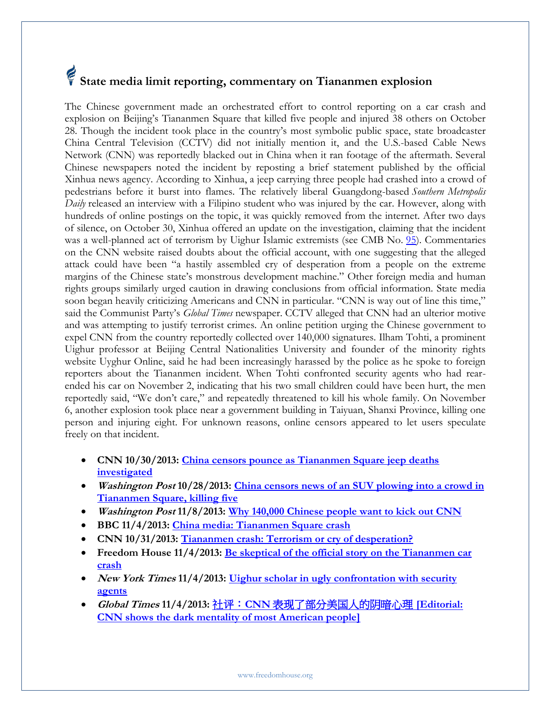## **State media limit reporting, commentary on Tiananmen explosion**

The Chinese government made an orchestrated effort to control reporting on a car crash and explosion on Beijing's Tiananmen Square that killed five people and injured 38 others on October 28. Though the incident took place in the country's most symbolic public space, state broadcaster China Central Television (CCTV) did not initially mention it, and the U.S.-based Cable News Network (CNN) was reportedly blacked out in China when it ran footage of the aftermath. Several Chinese newspapers noted the incident by reposting a brief statement published by the official Xinhua news agency. According to Xinhua, a jeep carrying three people had crashed into a crowd of pedestrians before it burst into flames. The relatively liberal Guangdong-based *Southern Metropolis Daily* released an interview with a Filipino student who was injured by the car. However, along with hundreds of online postings on the topic, it was quickly removed from the internet. After two days of silence, on October 30, Xinhua offered an update on the investigation, claiming that the incident was a well-planned act of terrorism by Uighur Islamic extremists (see CMB No. [95\)](http://www.freedomhouse.org/cmb/95_102913#8). Commentaries on the CNN website raised doubts about the official account, with one suggesting that the alleged attack could have been "a hastily assembled cry of desperation from a people on the extreme margins of the Chinese state's monstrous development machine." Other foreign media and human rights groups similarly urged caution in drawing conclusions from official information. State media soon began heavily criticizing Americans and CNN in particular. "CNN is way out of line this time," said the Communist Party's *Global Times* newspaper. CCTV alleged that CNN had an ulterior motive and was attempting to justify terrorist crimes. An online petition urging the Chinese government to expel CNN from the country reportedly collected over 140,000 signatures. Ilham Tohti, a prominent Uighur professor at Beijing Central Nationalities University and founder of the minority rights website Uyghur Online, said he had been increasingly harassed by the police as he spoke to foreign reporters about the Tiananmen incident. When Tohti confronted security agents who had rearended his car on November 2, indicating that his two small children could have been hurt, the men reportedly said, "We don't care," and repeatedly threatened to kill his whole family. On November 6, another explosion took place near a government building in Taiyuan, Shanxi Province, killing one person and injuring eight. For unknown reasons, online censors appeared to let users speculate freely on that incident.

- **CNN 10/30/2013: [China censors pounce as Tiananmen Square jeep deaths](http://edition.cnn.com/2013/10/29/world/asia/china-tiananmen-suspects/)  [investigated](http://edition.cnn.com/2013/10/29/world/asia/china-tiananmen-suspects/)**
- **Washington Post 10/28/2013: [China censors news of an SUV plowing into a crowd in](http://www.washingtonpost.com/world/china-censors-busy-as-jeep-plows-into-crowd-in-tiananmen-square-killing-five/2013/10/28/768f7b88-3fc2-11e3-b028-de922d7a3f47_story.html)  [Tiananmen Square, killing five](http://www.washingtonpost.com/world/china-censors-busy-as-jeep-plows-into-crowd-in-tiananmen-square-killing-five/2013/10/28/768f7b88-3fc2-11e3-b028-de922d7a3f47_story.html)**
- **Washington Post 11/8/2013: [Why 140,000 Chinese people want to kick out CNN](http://www.washingtonpost.com/blogs/worldviews/wp/2013/11/08/why-140000-chinese-people-want-to-kick-out-cnn)**
- **BBC 11/4/2013: [China media: Tiananmen Square crash](http://www.bbc.co.uk/news/world-asia-china-24800423)**
- **CNN 10/31/2013: [Tiananmen crash: Terrorism or cry of desperation?](http://edition.cnn.com/2013/10/31/opinion/china-tiananmen-uyghurs/)**
- **Freedom House 11/4/2013: [Be skeptical of the official story on the Tiananmen car](http://www.freedomhouse.org/blog/be-skeptical-official-story-tiananmen-car-crash)  [crash](http://www.freedomhouse.org/blog/be-skeptical-official-story-tiananmen-car-crash)**
- New York Times 11/4/2013: Uighur scholar in ugly confrontation with security **[agents](http://sinosphere.blogs.nytimes.com/2013/11/04/uighur-scholar-ilham-tohti-in-ugly-confrontation-with-security-agents/)**
- **Global Times 11/4/2013:** 社评:**CNN** [表现了部分美国人的阴暗心理](http://opinion.huanqiu.com/editorial/2013-11/4524037.html) **[Editorial: [CNN shows the dark mentality of most American people\]](http://opinion.huanqiu.com/editorial/2013-11/4524037.html)**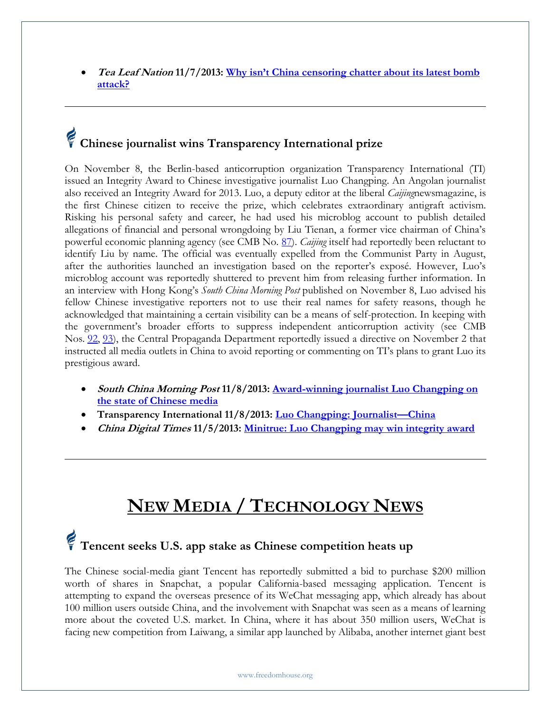**Tea Leaf Nation 11/7/2013: [Why isn't China censoring chatter about its latest bomb](http://www.tealeafnation.com/2013/11/why-isnt-china-censoring-chatter-about-its-latest-bomb-attack)  [attack?](http://www.tealeafnation.com/2013/11/why-isnt-china-censoring-chatter-about-its-latest-bomb-attack)**

## **Chinese journalist wins Transparency International prize**

On November 8, the Berlin-based anticorruption organization Transparency International (TI) issued an Integrity Award to Chinese investigative journalist Luo Changping. An Angolan journalist also received an Integrity Award for 2013. Luo, a deputy editor at the liberal *Caijing*newsmagazine, is the first Chinese citizen to receive the prize, which celebrates extraordinary antigraft activism. Risking his personal safety and career, he had used his microblog account to publish detailed allegations of financial and personal wrongdoing by Liu Tienan, a former vice chairman of China's powerful economic planning agency (see CMB No. [87\)](http://www.freedomhouse.org/cmb/87_051613#2). *Caijing* itself had reportedly been reluctant to identify Liu by name. The official was eventually expelled from the Communist Party in August, after the authorities launched an investigation based on the reporter's exposé. However, Luo's microblog account was reportedly shuttered to prevent him from releasing further information. In an interview with Hong Kong's *South China Morning Post* published on November 8, Luo advised his fellow Chinese investigative reporters not to use their real names for safety reasons, though he acknowledged that maintaining a certain visibility can be a means of self-protection. In keeping with the government's broader efforts to suppress independent anticorruption activity (see CMB Nos. [92,](http://www.freedomhouse.org/cmb/92_090513#2) [93\)](http://www.freedomhouse.org/cmb/93_091913#2), the Central Propaganda Department reportedly issued a directive on November 2 that instructed all media outlets in China to avoid reporting or commenting on TI's plans to grant Luo its prestigious award.

- **South China Morning Post 11/8/2013: [Award-winning journalist Luo Changping on](http://www.scmp.com/news/china-insider/article/1350037/award-winning-journalist-luo-changping-state-chinese-journalism)  [the state of Chinese media](http://www.scmp.com/news/china-insider/article/1350037/award-winning-journalist-luo-changping-state-chinese-journalism)**
- **Transparency International 11/8/2013: [Luo Changping: Journalist](http://www.transparency.org/getinvolved/awardwinner/luo_changping)—China**
- **China Digital Times 11/5/2013: [Minitrue: Luo Changping may win integrity award](http://chinadigitaltimes.net/2013/11/minitrue-luo-changping-may-win-integrity-award/)**

#### **NEW MEDIA / TECHNOLOGY NEWS**

#### **Tencent seeks U.S. app stake as Chinese competition heats up**

The Chinese social-media giant Tencent has reportedly submitted a bid to purchase \$200 million worth of shares in Snapchat, a popular California-based messaging application. Tencent is attempting to expand the overseas presence of its WeChat messaging app, which already has about 100 million users outside China, and the involvement with Snapchat was seen as a means of learning more about the coveted U.S. market. In China, where it has about 350 million users, WeChat is facing new competition from Laiwang, a similar app launched by Alibaba, another internet giant best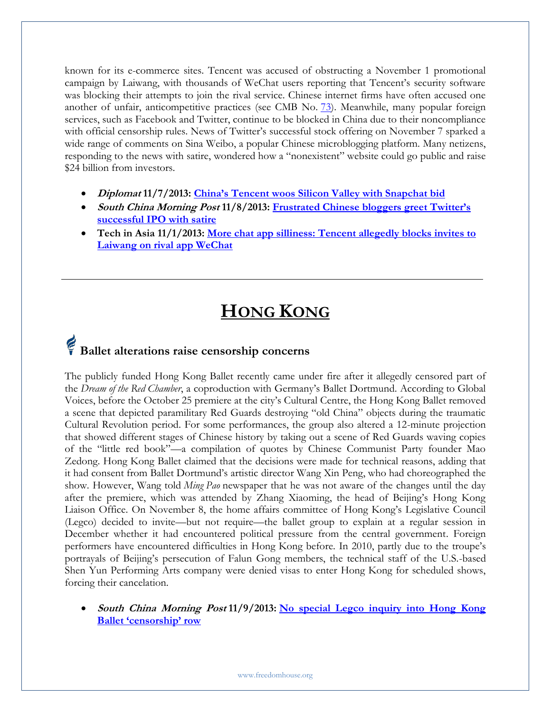known for its e-commerce sites. Tencent was accused of obstructing a November 1 promotional campaign by Laiwang, with thousands of WeChat users reporting that Tencent's security software was blocking their attempts to join the rival service. Chinese internet firms have often accused one another of unfair, anticompetitive practices (see CMB No. [73\)](http://www.freedomhouse.org/cmb/73_110812#4). Meanwhile, many popular foreign services, such as Facebook and Twitter, continue to be blocked in China due to their noncompliance with official censorship rules. News of Twitter's successful stock offering on November 7 sparked a wide range of comments on Sina Weibo, a popular Chinese microblogging platform. Many netizens, responding to the news with satire, wondered how a "nonexistent" website could go public and raise \$24 billion from investors.

- **Diplomat 11/7/2013: [China's Tencent woos Silicon Valley with Snapchat bid](http://thediplomat.com/pacific-money/2013/11/07/chinas-tencent-woos-silicon-valley-with-snapchat-bid)**
- **South China Morning Post 11/8/2013: [Frustrated Chinese bloggers greet Twitter's](http://www.scmp.com/news/china-insider/article/1350675/frustrated-chinese-bloggers-greet-twitters-successful-ipo-satire)  [successful IPO with satire](http://www.scmp.com/news/china-insider/article/1350675/frustrated-chinese-bloggers-greet-twitters-successful-ipo-satire)**
- **Tech in Asia 11/1/2013: [More chat app silliness: Tencent allegedly blocks invites to](http://www.techinasia.com/chat-app-silliness-tencent-allegedly-blocks-invites-laiwang-rival-app-wechat/)  [Laiwang on rival app WeChat](http://www.techinasia.com/chat-app-silliness-tencent-allegedly-blocks-invites-laiwang-rival-app-wechat/)**

### **HONG KONG**

### **Ballet alterations raise censorship concerns**

The publicly funded Hong Kong Ballet recently came under fire after it allegedly censored part of the *Dream of the Red Chamber*, a coproduction with Germany's Ballet Dortmund. According to Global Voices, before the October 25 premiere at the city's Cultural Centre, the Hong Kong Ballet removed a scene that depicted paramilitary Red Guards destroying "old China" objects during the traumatic Cultural Revolution period. For some performances, the group also altered a 12-minute projection that showed different stages of Chinese history by taking out a scene of Red Guards waving copies of the "little red book"—a compilation of quotes by Chinese Communist Party founder Mao Zedong. Hong Kong Ballet claimed that the decisions were made for technical reasons, adding that it had consent from Ballet Dortmund's artistic director Wang Xin Peng, who had choreographed the show. However, Wang told *Ming Pao* newspaper that he was not aware of the changes until the day after the premiere, which was attended by Zhang Xiaoming, the head of Beijing's Hong Kong Liaison Office. On November 8, the home affairs committee of Hong Kong's Legislative Council (Legco) decided to invite—but not require—the ballet group to explain at a regular session in December whether it had encountered political pressure from the central government. Foreign performers have encountered difficulties in Hong Kong before. In 2010, partly due to the troupe's portrayals of Beijing's persecution of Falun Gong members, the technical staff of the U.S.-based Shen Yun Performing Arts company were denied visas to enter Hong Kong for scheduled shows, forcing their cancelation.

 **South China Morning Post 11/9/2013: [No special Legco inquiry into Hong Kong](http://www.scmp.com/news/hong-kong/article/1351143/no-special-legco-inquiry-hong-kong-ballet-censorship-row)  [Ballet 'censorship' row](http://www.scmp.com/news/hong-kong/article/1351143/no-special-legco-inquiry-hong-kong-ballet-censorship-row)**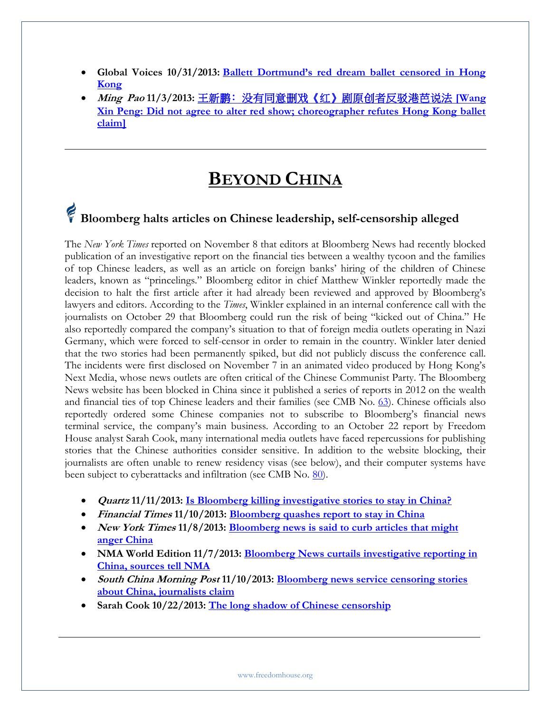- **Global Voices 10/31/2013: [Ballett Dortmund's red dream ballet censored in Hong](http://globalvoicesonline.org/2013/10/31/ballett-dortmunds-red-dream-ballet-censored-in-hong-kong)  [Kong](http://globalvoicesonline.org/2013/10/31/ballett-dortmunds-red-dream-ballet-censored-in-hong-kong)**
- **Ming Pao 11/3/2013:** [王新鹏﹕没有同意删戏《红》剧原创者反驳港芭说法](http://www.zaobao.com.sg/wencui/politic/story20131103-272128) **[Wang [Xin Peng: Did not agree to alter red show; choreographer refutes Hong Kong ballet](http://www.zaobao.com.sg/wencui/politic/story20131103-272128)  [claim\]](http://www.zaobao.com.sg/wencui/politic/story20131103-272128)**

#### **BEYOND CHINA**

### **Bloomberg halts articles on Chinese leadership, self-censorship alleged**

The *New York Times* reported on November 8 that editors at Bloomberg News had recently blocked publication of an investigative report on the financial ties between a wealthy tycoon and the families of top Chinese leaders, as well as an article on foreign banks' hiring of the children of Chinese leaders, known as "princelings." Bloomberg editor in chief Matthew Winkler reportedly made the decision to halt the first article after it had already been reviewed and approved by Bloomberg's lawyers and editors. According to the *Times*, Winkler explained in an internal conference call with the journalists on October 29 that Bloomberg could run the risk of being "kicked out of China." He also reportedly compared the company's situation to that of foreign media outlets operating in Nazi Germany, which were forced to self-censor in order to remain in the country. Winkler later denied that the two stories had been permanently spiked, but did not publicly discuss the conference call. The incidents were first disclosed on November 7 in an animated video produced by Hong Kong's Next Media, whose news outlets are often critical of the Chinese Communist Party. The Bloomberg News website has been blocked in China since it published a series of reports in 2012 on the wealth and financial ties of top Chinese leaders and their families (see CMB No. [63\)](http://www.freedomhouse.org/cmb/63_071512#1). Chinese officials also reportedly ordered some Chinese companies not to subscribe to Bloomberg's financial news terminal service, the company's main business. According to an October 22 report by Freedom House analyst Sarah Cook, many international media outlets have faced repercussions for publishing stories that the Chinese authorities consider sensitive. In addition to the website blocking, their journalists are often unable to renew residency visas (see below), and their computer systems have been subject to cyberattacks and infiltration (see CMB No. [80\)](http://www.freedomhouse.org/cmb/80_020713#5).

- **Quartz 11/11/2013: [Is Bloomberg killing investigative stories to stay in China?](http://qz.com/145875/is-bloomberg-killing-investigative-stories-to-stay-in-china/)**
- **Financial Times 11/10/2013: [Bloomberg quashes report to stay in China](http://www.ft.com/intl/cms/s/0/d121fd70-49f2-11e3-9a21-00144feabdc0.html#axzz2kHqhmVoH)**
- New York Times 11/8/2013: **Bloomberg news is said to curb articles that might [anger China](http://www.nytimes.com/2013/11/09/world/asia/bloomberg-news-is-said-to-curb-articles-that-might-anger-china.html)**
- NMA World Edition 11/7/2013: **Bloomberg News curtails investigative reporting in [China, sources tell NMA](http://www.youtube.com/watch?v=DQGMLlihZ1I)**
- **South China Morning Post 11/10/2013: [Bloomberg news service censoring stories](http://www.scmp.com/news/china/article/1352206/bloomberg-news-service-censoring-stories-about-china-journalists-claim)  [about](http://www.scmp.com/news/china/article/1352206/bloomberg-news-service-censoring-stories-about-china-journalists-claim) [China, journalists claim](http://www.scmp.com/news/china/article/1352206/bloomberg-news-service-censoring-stories-about-china-journalists-claim)**
- **Sarah Cook 10/22/2013: [The long shadow of Chinese censorship](http://cima.ned.org/sites/default/files/CIMA-China_Sarah%20Cook.pdf)**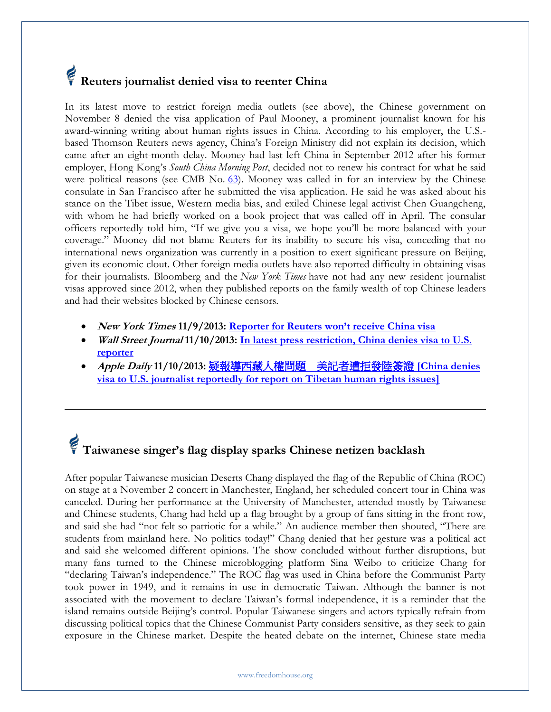### **Reuters journalist denied visa to reenter China**

In its latest move to restrict foreign media outlets (see above), the Chinese government on November 8 denied the visa application of Paul Mooney, a prominent journalist known for his award-winning writing about human rights issues in China. According to his employer, the U.S. based Thomson Reuters news agency, China's Foreign Ministry did not explain its decision, which came after an eight-month delay. Mooney had last left China in September 2012 after his former employer, Hong Kong's *South China Morning Post*, decided not to renew his contract for what he said were political reasons (see CMB No. [63\)](http://www.freedomhouse.org/cmb/63_071512). Mooney was called in for an interview by the Chinese consulate in San Francisco after he submitted the visa application. He said he was asked about his stance on the Tibet issue, Western media bias, and exiled Chinese legal activist Chen Guangcheng, with whom he had briefly worked on a book project that was called off in April. The consular officers reportedly told him, "If we give you a visa, we hope you'll be more balanced with your coverage." Mooney did not blame Reuters for its inability to secure his visa, conceding that no international news organization was currently in a position to exert significant pressure on Beijing, given its economic clout. Other foreign media outlets have also reported difficulty in obtaining visas for their journalists. Bloomberg and the *New York Times* have not had any new resident journalist visas approved since 2012, when they published reports on the family wealth of top Chinese leaders and had their websites blocked by Chinese censors.

- **New York Times 11/9/2013: [Reporter for Reuters won't receive China](http://www.nytimes.com/2013/11/10/world/asia/reporter-for-reuters-wont-receive-china-visa.html) visa**
- **Wall Street Journal 11/10/2013: [In latest press restriction, China denies visa to U.S.](http://online.wsj.com/news/articles/SB10001424052702303460004579189192241179938)  [reporter](http://online.wsj.com/news/articles/SB10001424052702303460004579189192241179938)**
- **Apple Daily 11/10/2013:** 疑報導西藏人權問題 [美記者遭拒發陸簽證](http://www.appledaily.com.tw/realtimenews/article/international/20131110/290128/) **[China denies [visa to U.S. journalist reportedly for report on Tibetan human rights issues\]](http://www.appledaily.com.tw/realtimenews/article/international/20131110/290128/)**

## **Taiwanese singer's flag display sparks Chinese netizen backlash**

After popular Taiwanese musician Deserts Chang displayed the flag of the Republic of China (ROC) on stage at a November 2 concert in Manchester, England, her scheduled concert tour in China was canceled. During her performance at the University of Manchester, attended mostly by Taiwanese and Chinese students, Chang had held up a flag brought by a group of fans sitting in the front row, and said she had "not felt so patriotic for a while." An audience member then shouted, "There are students from mainland here. No politics today!" Chang denied that her gesture was a political act and said she welcomed different opinions. The show concluded without further disruptions, but many fans turned to the Chinese microblogging platform Sina Weibo to criticize Chang for "declaring Taiwan's independence." The ROC flag was used in China before the Communist Party took power in 1949, and it remains in use in democratic Taiwan. Although the banner is not associated with the movement to declare Taiwan's formal independence, it is a reminder that the island remains outside Beijing's control. Popular Taiwanese singers and actors typically refrain from discussing political topics that the Chinese Communist Party considers sensitive, as they seek to gain exposure in the Chinese market. Despite the heated debate on the internet, Chinese state media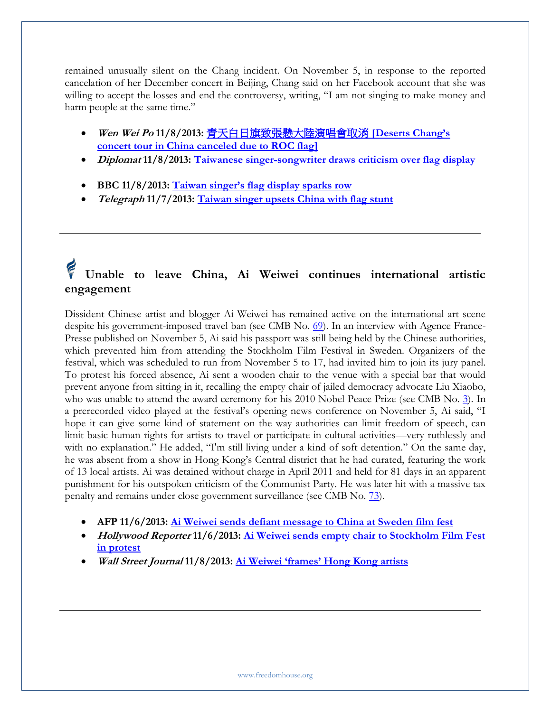remained unusually silent on the Chang incident. On November 5, in response to the reported cancelation of her December concert in Beijing, Chang said on her Facebook account that she was willing to accept the losses and end the controversy, writing, "I am not singing to make money and harm people at the same time."

- **Wen Wei Po 11/8/2013:** [青天白日旗致張懸大陸演唱會取消](http://news.wenweipo.com/2013/11/08/IN1311080021.htm) **[\[Deserts Chang's](http://news.wenweipo.com/2013/11/08/IN1311080021.htm)  [concert tour in China canceled due to ROC flag\]](http://news.wenweipo.com/2013/11/08/IN1311080021.htm)**
- **Diplomat 11/8/2013: [Taiwanese singer-songwriter draws criticism over flag display](http://thediplomat.com/asia-life/2013/11/taiwanese-singer-songwriter-draws-criticism-over-flag-display)**
- **BBC 11/8/2013: [Taiwan singer's flag display sparks row](http://www.bbc.co.uk/news/world-asia-pacific-24856658)**
- **Telegraph 11/7/2013: [Taiwan singer upsets China with flag stunt](http://www.telegraph.co.uk/news/worldnews/asia/taiwan/10432084/Taiwan-singer-upsets-China-with-flag-stunt.html)**

#### **Unable to leave China, Ai Weiwei continues international artistic engagement**

Dissident Chinese artist and blogger Ai Weiwei has remained active on the international art scene despite his government-imposed travel ban (see CMB No. [69\)](http://www.freedomhouse.org/cmb/69_092712). In an interview with Agence France-Presse published on November 5, Ai said his passport was still being held by the Chinese authorities, which prevented him from attending the Stockholm Film Festival in Sweden. Organizers of the festival, which was scheduled to run from November 5 to 17, had invited him to join its jury panel. To protest his forced absence, Ai sent a wooden chair to the venue with a special bar that would prevent anyone from sitting in it, recalling the empty chair of jailed democracy advocate Liu Xiaobo, who was unable to attend the award ceremony for his 2010 Nobel Peace Prize (see CMB No. [3\)](http://www.freedomhouse.org/article/china-media-bulletin-issue-no-3). In a prerecorded video played at the festival's opening news conference on November 5, Ai said, "I hope it can give some kind of statement on the way authorities can limit freedom of speech, can limit basic human rights for artists to travel or participate in cultural activities—very ruthlessly and with no explanation." He added, "I'm still living under a kind of soft detention." On the same day, he was absent from a show in Hong Kong's Central district that he had curated, featuring the work of 13 local artists. Ai was detained without charge in April 2011 and held for 81 days in an apparent punishment for his outspoken criticism of the Communist Party. He was later hit with a massive tax penalty and remains under close government surveillance (see CMB No. [73\)](http://www.freedomhouse.org/cmb/73_110812).

- **AFP 11/6/2013: [Ai Weiwei sends defiant message to China at Sweden film fest](http://www.google.com/hostednews/afp/article/ALeqM5juz6xwYCBR0FilX06pCVdw6nKiRQ?docId=3092ad76-201b-491b-b888-bc557aaff645&hl=en)**
- **Hollywood Reporter 11/6/2013: [Ai Weiwei sends empty chair to Stockholm Film Fest](http://www.hollywoodreporter.com/news/ai-weiwei-sends-empty-chair-653761)  [in protest](http://www.hollywoodreporter.com/news/ai-weiwei-sends-empty-chair-653761)**
- **Wall Street Journal 11/8/2013: [Ai Weiwei 'frames' Hong Kong artists](http://blogs.wsj.com/chinarealtime/2013/11/08/ai-weiwei-frames-hong-kong-artists/)**